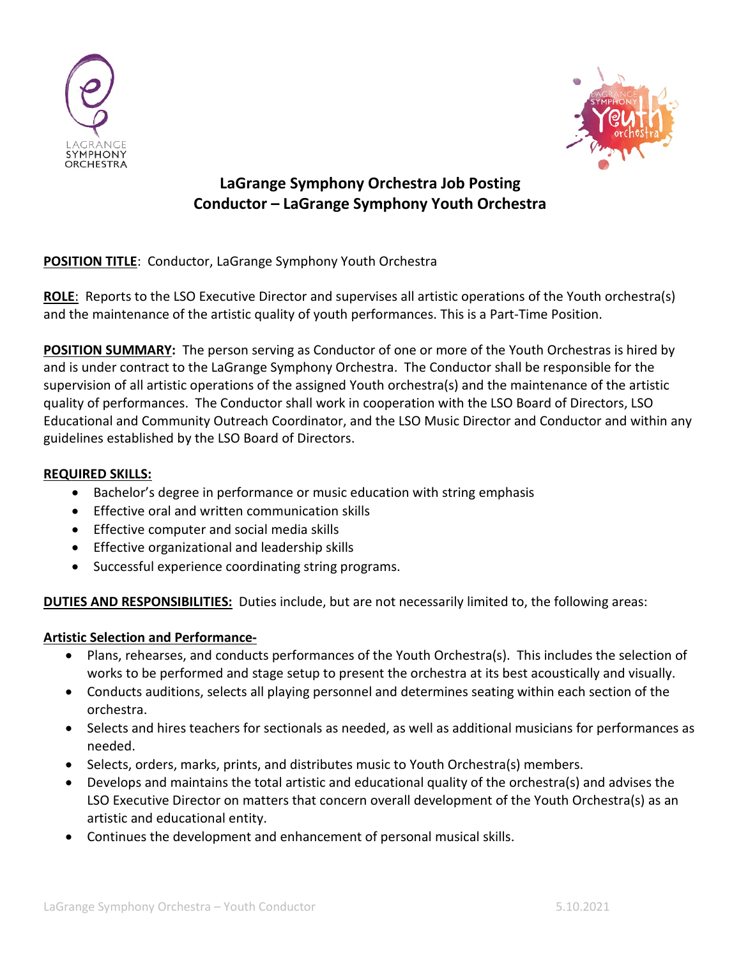



# **LaGrange Symphony Orchestra Job Posting Conductor – LaGrange Symphony Youth Orchestra**

**POSITION TITLE**: Conductor, LaGrange Symphony Youth Orchestra

**ROLE**: Reports to the LSO Executive Director and supervises all artistic operations of the Youth orchestra(s) and the maintenance of the artistic quality of youth performances. This is a Part-Time Position.

**POSITION SUMMARY:** The person serving as Conductor of one or more of the Youth Orchestras is hired by and is under contract to the LaGrange Symphony Orchestra. The Conductor shall be responsible for the supervision of all artistic operations of the assigned Youth orchestra(s) and the maintenance of the artistic quality of performances. The Conductor shall work in cooperation with the LSO Board of Directors, LSO Educational and Community Outreach Coordinator, and the LSO Music Director and Conductor and within any guidelines established by the LSO Board of Directors.

## **REQUIRED SKILLS:**

- Bachelor's degree in performance or music education with string emphasis
- Effective oral and written communication skills
- Effective computer and social media skills
- Effective organizational and leadership skills
- Successful experience coordinating string programs.

**DUTIES AND RESPONSIBILITIES:** Duties include, but are not necessarily limited to, the following areas:

## **Artistic Selection and Performance-**

- Plans, rehearses, and conducts performances of the Youth Orchestra(s). This includes the selection of works to be performed and stage setup to present the orchestra at its best acoustically and visually.
- Conducts auditions, selects all playing personnel and determines seating within each section of the orchestra.
- Selects and hires teachers for sectionals as needed, as well as additional musicians for performances as needed.
- Selects, orders, marks, prints, and distributes music to Youth Orchestra(s) members.
- Develops and maintains the total artistic and educational quality of the orchestra(s) and advises the LSO Executive Director on matters that concern overall development of the Youth Orchestra(s) as an artistic and educational entity.
- Continues the development and enhancement of personal musical skills.